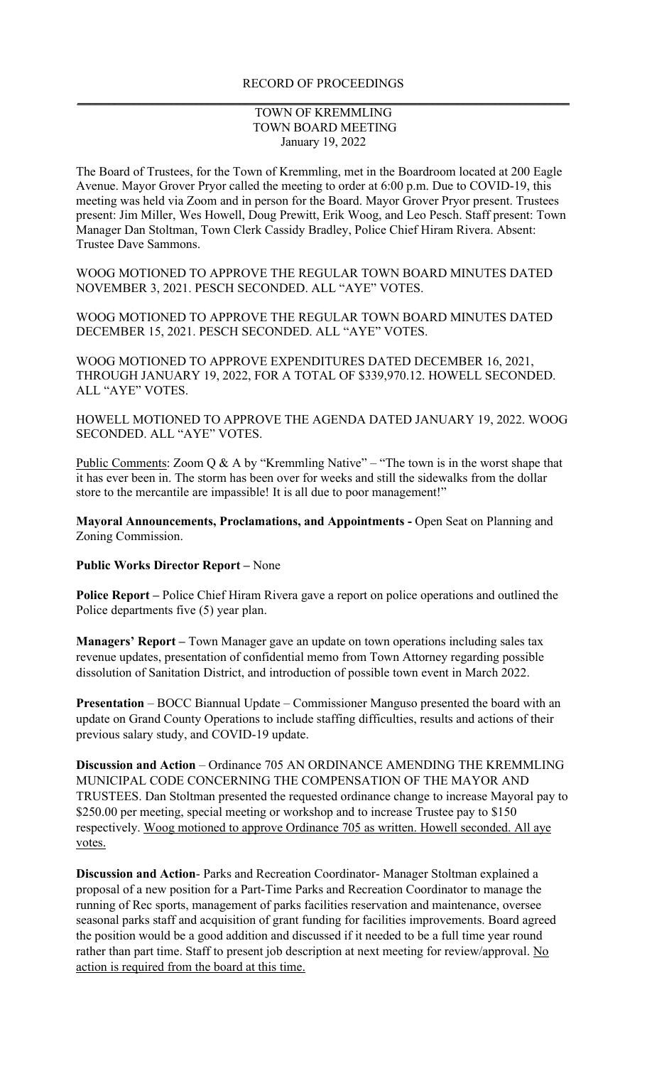## TOWN OF KREMMLING TOWN BOARD MEETING January 19, 2022

The Board of Trustees, for the Town of Kremmling, met in the Boardroom located at 200 Eagle Avenue. Mayor Grover Pryor called the meeting to order at 6:00 p.m. Due to COVID-19, this meeting was held via Zoom and in person for the Board. Mayor Grover Pryor present. Trustees present: Jim Miller, Wes Howell, Doug Prewitt, Erik Woog, and Leo Pesch. Staff present: Town Manager Dan Stoltman, Town Clerk Cassidy Bradley, Police Chief Hiram Rivera. Absent: Trustee Dave Sammons.

WOOG MOTIONED TO APPROVE THE REGULAR TOWN BOARD MINUTES DATED NOVEMBER 3, 2021. PESCH SECONDED. ALL "AYE" VOTES.

WOOG MOTIONED TO APPROVE THE REGULAR TOWN BOARD MINUTES DATED DECEMBER 15, 2021. PESCH SECONDED. ALL "AYE" VOTES.

WOOG MOTIONED TO APPROVE EXPENDITURES DATED DECEMBER 16, 2021, THROUGH JANUARY 19, 2022, FOR A TOTAL OF \$339,970.12. HOWELL SECONDED. ALL "AYE" VOTES.

HOWELL MOTIONED TO APPROVE THE AGENDA DATED JANUARY 19, 2022. WOOG SECONDED. ALL "AYE" VOTES.

Public Comments: Zoom Q & A by "Kremmling Native" – "The town is in the worst shape that it has ever been in. The storm has been over for weeks and still the sidewalks from the dollar store to the mercantile are impassible! It is all due to poor management!"

**Mayoral Announcements, Proclamations, and Appointments -** Open Seat on Planning and Zoning Commission.

## **Public Works Director Report –** None

**Police Report –** Police Chief Hiram Rivera gave a report on police operations and outlined the Police departments five (5) year plan.

**Managers' Report –** Town Manager gave an update on town operations including sales tax revenue updates, presentation of confidential memo from Town Attorney regarding possible dissolution of Sanitation District, and introduction of possible town event in March 2022.

**Presentation** – BOCC Biannual Update – Commissioner Manguso presented the board with an update on Grand County Operations to include staffing difficulties, results and actions of their previous salary study, and COVID-19 update.

**Discussion and Action** – Ordinance 705 AN ORDINANCE AMENDING THE KREMMLING MUNICIPAL CODE CONCERNING THE COMPENSATION OF THE MAYOR AND TRUSTEES. Dan Stoltman presented the requested ordinance change to increase Mayoral pay to \$250.00 per meeting, special meeting or workshop and to increase Trustee pay to \$150 respectively. Woog motioned to approve Ordinance 705 as written. Howell seconded. All aye votes.

**Discussion and Action**- Parks and Recreation Coordinator- Manager Stoltman explained a proposal of a new position for a Part-Time Parks and Recreation Coordinator to manage the running of Rec sports, management of parks facilities reservation and maintenance, oversee seasonal parks staff and acquisition of grant funding for facilities improvements. Board agreed the position would be a good addition and discussed if it needed to be a full time year round rather than part time. Staff to present job description at next meeting for review/approval. No action is required from the board at this time.